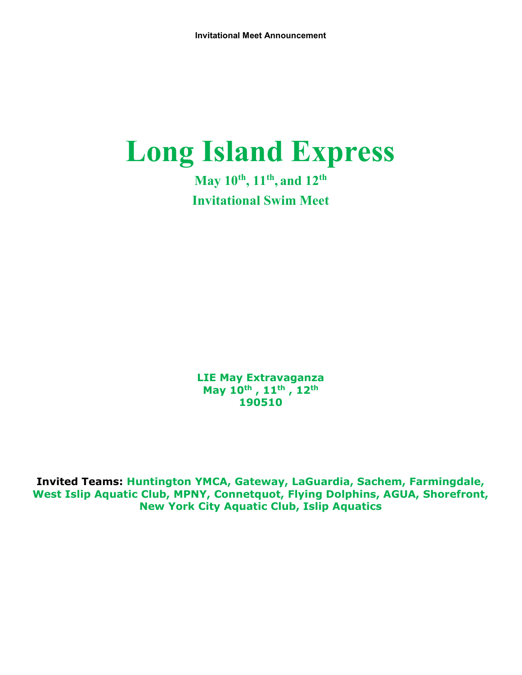# Long Island Express

May  $10^{th}$ ,  $11^{th}$ , and  $12^{th}$ Invitational Swim Meet

LIE May Extravaganza May 10<sup>th</sup>, 11<sup>th</sup>, 12<sup>th</sup> 190510

Invited Teams: Huntington YMCA, Gateway, LaGuardia, Sachem, Farmingdale, West Islip Aquatic Club, MPNY, Connetquot, Flying Dolphins, AGUA, Shorefront, New York City Aquatic Club, Islip Aquatics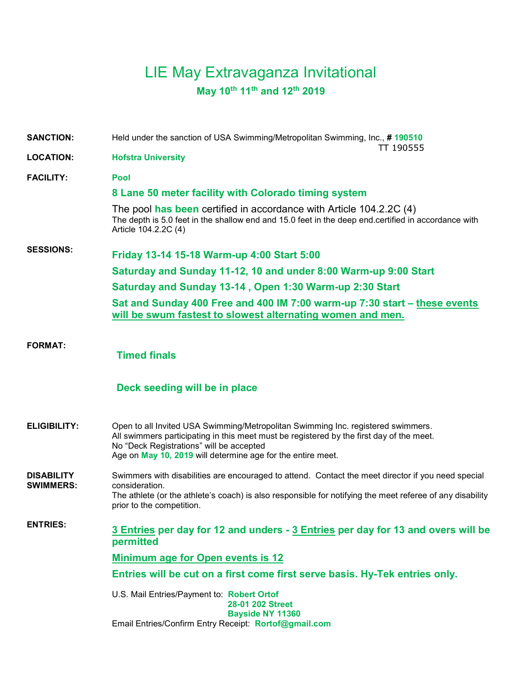# LIE May Extravaganza Invitational May 10th 11th and 12th 2019

SANCTION: Held under the sanction of USA Swimming/Metropolitan Swimming, Inc., #190510 TT 190555 LOCATION: Hofstra University FACILITY: Pool 8 Lane 50 meter facility with Colorado timing system The pool has been certified in accordance with Article 104.2.2C (4) The depth is 5.0 feet in the shallow end and 15.0 feet in the deep end.certified in accordance with Article 104.2.2C (4) SESSIONS: Friday 13-14 15-18 Warm-up 4:00 Start 5:00 Saturday and Sunday 11-12, 10 and under 8:00 Warm-up 9:00 Start Saturday and Sunday 13-14 , Open 1:30 Warm-up 2:30 Start Sat and Sunday 400 Free and 400 IM 7:00 warm-up 7:30 start – these events will be swum fastest to slowest alternating women and men.

FORMAT:

Timed finals

#### Deck seeding will be in place

ELIGIBILITY: Open to all Invited USA Swimming/Metropolitan Swimming Inc. registered swimmers. All swimmers participating in this meet must be registered by the first day of the meet. No "Deck Registrations" will be accepted Age on May 10, 2019 will determine age for the entire meet.

**DISABILITY** SWIMMERS: Swimmers with disabilities are encouraged to attend. Contact the meet director if you need special consideration. The athlete (or the athlete's coach) is also responsible for notifying the meet referee of any disability prior to the competition.

ENTRIES: 3 Entries per day for 12 and unders - 3 Entries per day for 13 and overs will be permitted

Minimum age for Open events is 12

Entries will be cut on a first come first serve basis. Hy-Tek entries only.

U.S. Mail Entries/Payment to: Robert Ortof 28-01 202 Street Bayside NY 11360 Email Entries/Confirm Entry Receipt: Rortof@gmail.com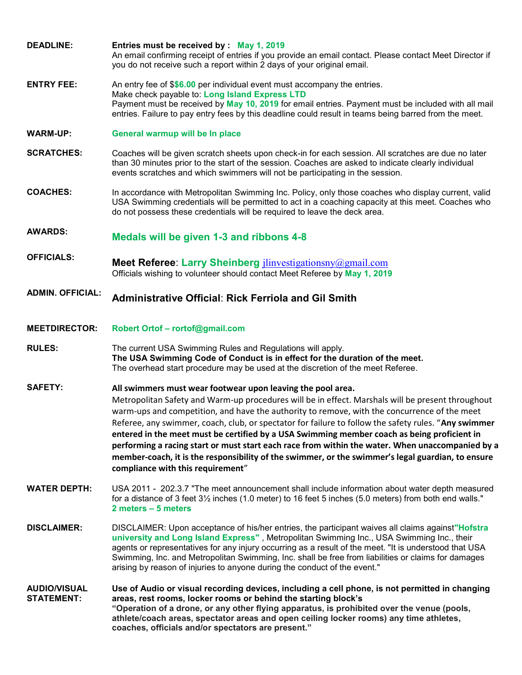- DEADLINE: Entries must be received by : May 1, 2019 An email confirming receipt of entries if you provide an email contact. Please contact Meet Director if you do not receive such a report within 2 days of your original email.
- **ENTRY FEE:** An entry fee of \$\$6.00 per individual event must accompany the entries. Make check payable to: Long Island Express LTD Payment must be received by May 10, 2019 for email entries. Payment must be included with all mail entries. Failure to pay entry fees by this deadline could result in teams being barred from the meet.
- WARM-UP: General warmup will be In place
- SCRATCHES: Coaches will be given scratch sheets upon check-in for each session. All scratches are due no later than 30 minutes prior to the start of the session. Coaches are asked to indicate clearly individual events scratches and which swimmers will not be participating in the session.
- COACHES: In accordance with Metropolitan Swimming Inc. Policy, only those coaches who display current, valid USA Swimming credentials will be permitted to act in a coaching capacity at this meet. Coaches who do not possess these credentials will be required to leave the deck area.
- AWARDS: Medals will be given 1-3 and ribbons 4-8
- OFFICIALS:<br>Meet Referee: Larry Sheinberg jlinvestigationsny@gmail.com Officials wishing to volunteer should contact Meet Referee by May 1, 2019
- ADMIN. OFFICIAL: Administrative Official: Rick Ferriola and Gil Smith
- MEETDIRECTOR: Robert Ortof rortof@gmail.com
- RULES: The current USA Swimming Rules and Regulations will apply. The USA Swimming Code of Conduct is in effect for the duration of the meet. The overhead start procedure may be used at the discretion of the meet Referee.
- SAFETY: All swimmers must wear footwear upon leaving the pool area. Metropolitan Safety and Warm-up procedures will be in effect. Marshals will be present throughout warm-ups and competition, and have the authority to remove, with the concurrence of the meet Referee, any swimmer, coach, club, or spectator for failure to follow the safety rules. "Any swimmer entered in the meet must be certified by a USA Swimming member coach as being proficient in performing a racing start or must start each race from within the water. When unaccompanied by a member-coach, it is the responsibility of the swimmer, or the swimmer's legal guardian, to ensure compliance with this requirement"
- WATER DEPTH: USA 2011 202.3.7 "The meet announcement shall include information about water depth measured for a distance of 3 feet 3½ inches (1.0 meter) to 16 feet 5 inches (5.0 meters) from both end walls." 2 meters – 5 meters
- DISCLAIMER: DISCLAIMER: Upon acceptance of his/her entries, the participant waives all claims against"Hofstra university and Long Island Express" , Metropolitan Swimming Inc., USA Swimming Inc., their agents or representatives for any injury occurring as a result of the meet. "It is understood that USA Swimming, Inc. and Metropolitan Swimming, Inc. shall be free from liabilities or claims for damages arising by reason of injuries to anyone during the conduct of the event."
- AUDIO/VISUAL STATEMENT: Use of Audio or visual recording devices, including a cell phone, is not permitted in changing areas, rest rooms, locker rooms or behind the starting block's "Operation of a drone, or any other flying apparatus, is prohibited over the venue (pools, athlete/coach areas, spectator areas and open ceiling locker rooms) any time athletes, coaches, officials and/or spectators are present."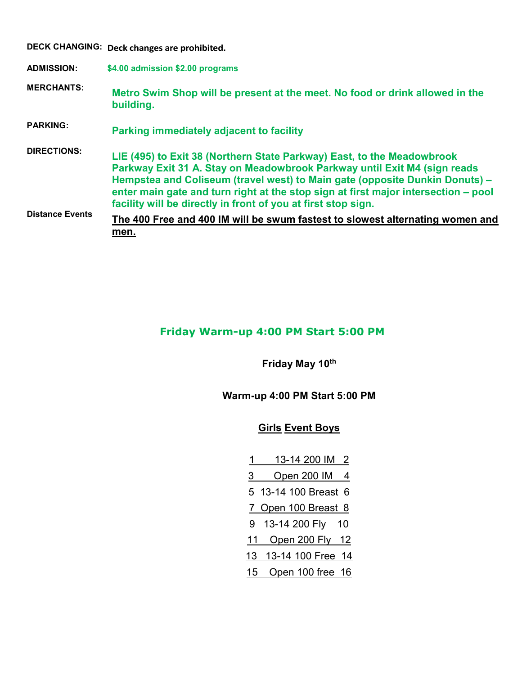|                        | DECK CHANGING: Deck changes are prohibited.                                                                                                                                                                                                                                                                                                                                              |
|------------------------|------------------------------------------------------------------------------------------------------------------------------------------------------------------------------------------------------------------------------------------------------------------------------------------------------------------------------------------------------------------------------------------|
| <b>ADMISSION:</b>      | \$4.00 admission \$2.00 programs                                                                                                                                                                                                                                                                                                                                                         |
| <b>MERCHANTS:</b>      | Metro Swim Shop will be present at the meet. No food or drink allowed in the<br>building.                                                                                                                                                                                                                                                                                                |
| <b>PARKING:</b>        | <b>Parking immediately adjacent to facility</b>                                                                                                                                                                                                                                                                                                                                          |
| <b>DIRECTIONS:</b>     | LIE (495) to Exit 38 (Northern State Parkway) East, to the Meadowbrook<br>Parkway Exit 31 A. Stay on Meadowbrook Parkway until Exit M4 (sign reads<br>Hempstea and Coliseum (travel west) to Main gate (opposite Dunkin Donuts) –<br>enter main gate and turn right at the stop sign at first major intersection – pool<br>facility will be directly in front of you at first stop sign. |
| <b>Distance Events</b> | The 400 Free and 400 IM will be swum fastest to slowest alternating women and<br>men.                                                                                                                                                                                                                                                                                                    |

## Friday Warm-up 4:00 PM Start 5:00 PM

Friday May 10th

Warm-up 4:00 PM Start 5:00 PM

## Girls Event Boys

- 1 13-14 200 IM 2 3 Open 200 IM 4 5 13-14 100 Breast 6 7 Open 100 Breast 8 9 13-14 200 Fly 10
- 11 Open 200 Fly 12
- 13 13-14 100 Free 14
- 15 Open 100 free 16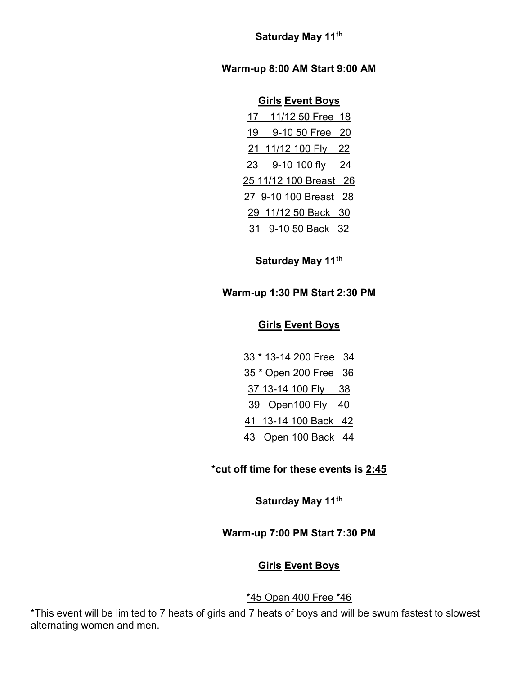Saturday May 11th

Warm-up 8:00 AM Start 9:00 AM

#### **Girls Event Boys**

| 17 <sub>2</sub> | 11/12 50 Free 18       |  |
|-----------------|------------------------|--|
| 19              | 9-10 50 Free 20        |  |
|                 | 21 11/12 100 Fly 22    |  |
|                 | 23 9-10 100 fly 24     |  |
|                 | 25 11/12 100 Breast 26 |  |
|                 | 27 9-10 100 Breast 28  |  |
|                 | 29 11/12 50 Back 30    |  |
|                 | 31 9-10 50 Back 32     |  |

Saturday May 11<sup>th</sup>

#### Warm-up 1:30 PM Start 2:30 PM

#### Girls Event Boys

33 \* 13-14 200 Free 34 35 \* Open 200 Free 36 37 13-14 100 Fly 38 39 Open100 Fly 40 41 13-14 100 Back 42 43 Open 100 Back 44

## \*cut off time for these events is 2:45

Saturday May 11th

#### Warm-up 7:00 PM Start 7:30 PM

#### Girls Event Boys

#### \*45 Open 400 Free \*46

\*This event will be limited to 7 heats of girls and 7 heats of boys and will be swum fastest to slowest alternating women and men.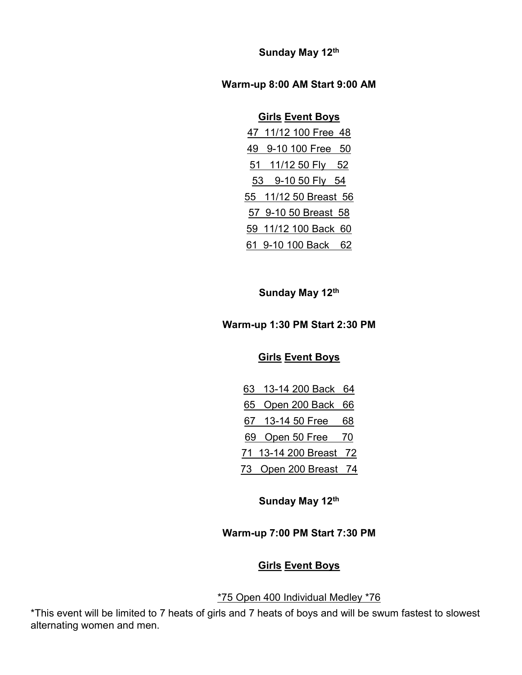Sunday May 12th

#### Warm-up 8:00 AM Start 9:00 AM

# Girls Event Boys

|    | 47 11/12 100 Free 48  |  |
|----|-----------------------|--|
| 49 | 9-10 100 Free 50      |  |
|    | 51 11/12 50 Fly 52    |  |
|    | 53 9-10 50 Fly 54     |  |
|    | 55 11/12 50 Breast 56 |  |
|    | 57 9-10 50 Breast 58  |  |
|    | 59 11/12 100 Back 60  |  |
|    | 61 9-10 100 Back 62   |  |

Sunday May 12th

# Warm-up 1:30 PM Start 2:30 PM

# **Girls Event Boys**

| 63 13-14 200 Back 64   |    |
|------------------------|----|
| 65 Open 200 Back 66    |    |
| 67 13-14 50 Free       | 68 |
| 69 Open 50 Free 70     |    |
| 71 13-14 200 Breast 72 |    |
| 73 Open 200 Breast 74  |    |

Sunday May 12th

# Warm-up 7:00 PM Start 7:30 PM

## **Girls Event Boys**

## \*75 Open 400 Individual Medley \*76

\*This event will be limited to 7 heats of girls and 7 heats of boys and will be swum fastest to slowest alternating women and men.